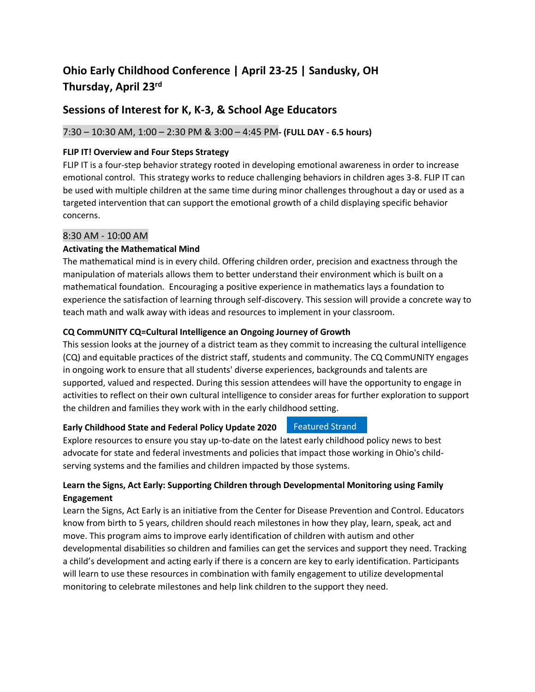# **Ohio Early Childhood Conference | April 23-25 | Sandusky, OH Thursday, April 23 rd**

## **Sessions of Interest for K, K-3, & School Age Educators**

## 7:30 – 10:30 AM, 1:00 – 2:30 PM & 3:00 – 4:45 PM**- (FULL DAY - 6.5 hours)**

## **FLIP IT! Overview and Four Steps Strategy**

FLIP IT is a four-step behavior strategy rooted in developing emotional awareness in order to increase emotional control. This strategy works to reduce challenging behaviors in children ages 3-8. FLIP IT can be used with multiple children at the same time during minor challenges throughout a day or used as a targeted intervention that can support the emotional growth of a child displaying specific behavior concerns.

## 8:30 AM - 10:00 AM

## **Activating the Mathematical Mind**

The mathematical mind is in every child. Offering children order, precision and exactness through the manipulation of materials allows them to better understand their environment which is built on a mathematical foundation. Encouraging a positive experience in mathematics lays a foundation to experience the satisfaction of learning through self-discovery. This session will provide a concrete way to teach math and walk away with ideas and resources to implement in your classroom.

## **CQ CommUNITY CQ=Cultural Intelligence an Ongoing Journey of Growth**

This session looks at the journey of a district team as they commit to increasing the cultural intelligence (CQ) and equitable practices of the district staff, students and community. The CQ CommUNITY engages in ongoing work to ensure that all students' diverse experiences, backgrounds and talents are supported, valued and respected. During this session attendees will have the opportunity to engage in activities to reflect on their own cultural intelligence to consider areas for further exploration to support the children and families they work with in the early childhood setting.

#### **Early Childhood State and Federal Policy Update 2020** Featured Strand

Explore resources to ensure you stay up-to-date on the latest early childhood policy news to best advocate for state and federal investments and policies that impact those working in Ohio's childserving systems and the families and children impacted by those systems.

## **Learn the Signs, Act Early: Supporting Children through Developmental Monitoring using Family Engagement**

Learn the Signs, Act Early is an initiative from the Center for Disease Prevention and Control. Educators know from birth to 5 years, children should reach milestones in how they play, learn, speak, act and move. This program aims to improve early identification of children with autism and other developmental disabilities so children and families can get the services and support they need. Tracking a child's development and acting early if there is a concern are key to early identification. Participants will learn to use these resources in combination with family engagement to utilize developmental monitoring to celebrate milestones and help link children to the support they need.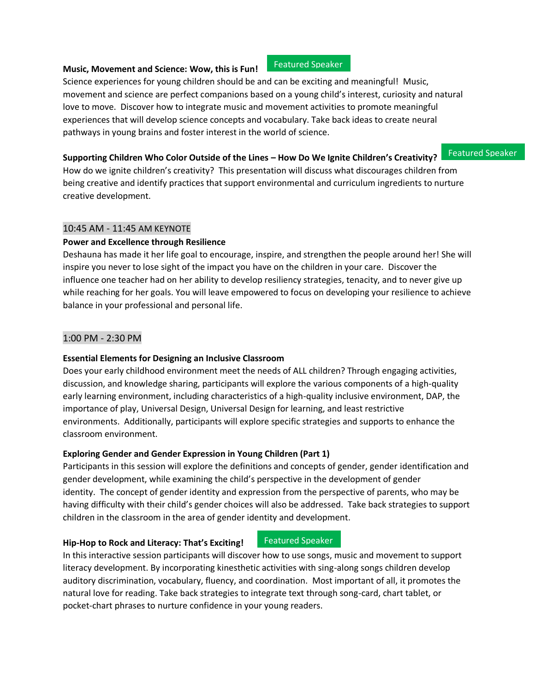#### **Music, Movement and Science: Wow, this is Fun!** Featured Speaker

Science experiences for young children should be and can be exciting and meaningful! Music, movement and science are perfect companions based on a young child's interest, curiosity and natural love to move. Discover how to integrate music and movement activities to promote meaningful experiences that will develop science concepts and vocabulary. Take back ideas to create neural pathways in young brains and foster interest in the world of science.

#### **Supporting Children Who Color Outside of the Lines – How Do We Ignite Children's Creativity?**

Featured Speaker

How do we ignite children's creativity? This presentation will discuss what discourages children from being creative and identify practices that support environmental and curriculum ingredients to nurture creative development.

#### 10:45 AM - 11:45 AM KEYNOTE

### **Power and Excellence through Resilience**

Deshauna has made it her life goal to encourage, inspire, and strengthen the people around her! She will inspire you never to lose sight of the impact you have on the children in your care. Discover the influence one teacher had on her ability to develop resiliency strategies, tenacity, and to never give up while reaching for her goals. You will leave empowered to focus on developing your resilience to achieve balance in your professional and personal life.

### 1:00 PM - 2:30 PM

### **Essential Elements for Designing an Inclusive Classroom**

Does your early childhood environment meet the needs of ALL children? Through engaging activities, discussion, and knowledge sharing, participants will explore the various components of a high-quality early learning environment, including characteristics of a high-quality inclusive environment, DAP, the importance of play, Universal Design, Universal Design for learning, and least restrictive environments. Additionally, participants will explore specific strategies and supports to enhance the classroom environment.

### **Exploring Gender and Gender Expression in Young Children (Part 1)**

Participants in this session will explore the definitions and concepts of gender, gender identification and gender development, while examining the child's perspective in the development of gender identity. The concept of gender identity and expression from the perspective of parents, who may be having difficulty with their child's gender choices will also be addressed. Take back strategies to support children in the classroom in the area of gender identity and development.

#### **Hip-Hop to Rock and Literacy: That's Exciting!**

#### Featured Speaker

In this interactive session participants will discover how to use songs, music and movement to support literacy development. By incorporating kinesthetic activities with sing-along songs children develop auditory discrimination, vocabulary, fluency, and coordination. Most important of all, it promotes the natural love for reading. Take back strategies to integrate text through song-card, chart tablet, or pocket-chart phrases to nurture confidence in your young readers.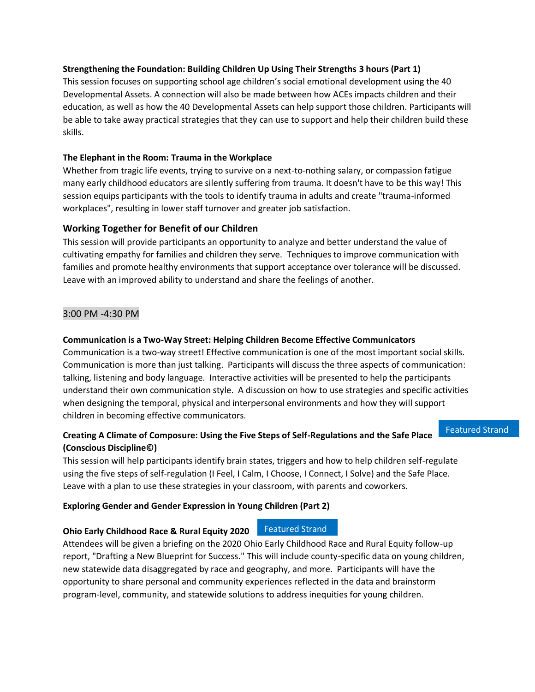### **Strengthening the Foundation: Building Children Up Using Their Strengths 3 hours (Part 1)**

This session focuses on supporting school age children's social emotional development using the 40 Developmental Assets. A connection will also be made between how ACEs impacts children and their education, as well as how the 40 Developmental Assets can help support those children. Participants will be able to take away practical strategies that they can use to support and help their children build these skills.

### **The Elephant in the Room: Trauma in the Workplace**

Whether from tragic life events, trying to survive on a next-to-nothing salary, or compassion fatigue many early childhood educators are silently suffering from trauma. It doesn't have to be this way! This session equips participants with the tools to identify trauma in adults and create "trauma-informed workplaces", resulting in lower staff turnover and greater job satisfaction.

### **Working Together for Benefit of our Children**

This session will provide participants an opportunity to analyze and better understand the value of cultivating empathy for families and children they serve. Techniques to improve communication with families and promote healthy environments that support acceptance over tolerance will be discussed. Leave with an improved ability to understand and share the feelings of another.

#### 3:00 PM -4:30 PM

#### **Communication is a Two-Way Street: Helping Children Become Effective Communicators**

Communication is a two-way street! Effective communication is one of the most important social skills. Communication is more than just talking. Participants will discuss the three aspects of communication: talking, listening and body language. Interactive activities will be presented to help the participants understand their own communication style. A discussion on how to use strategies and specific activities when designing the temporal, physical and interpersonal environments and how they will support children in becoming effective communicators.

## **Creating A Climate of Composure: Using the Five Steps of Self-Regulations and the Safe Place (Conscious Discipline©)**

Featured Strand

This session will help participants identify brain states, triggers and how to help children self-regulate using the five steps of self-regulation (I Feel, I Calm, I Choose, I Connect, I Solve) and the Safe Place. Leave with a plan to use these strategies in your classroom, with parents and coworkers.

## **Exploring Gender and Gender Expression in Young Children (Part 2)**

#### **Ohio Early Childhood Race & Rural Equity 2020** Featured Strand

Attendees will be given a briefing on the 2020 Ohio Early Childhood Race and Rural Equity follow-up report, "Drafting a New Blueprint for Success." This will include county-specific data on young children, new statewide data disaggregated by race and geography, and more. Participants will have the opportunity to share personal and community experiences reflected in the data and brainstorm program-level, community, and statewide solutions to address inequities for young children.